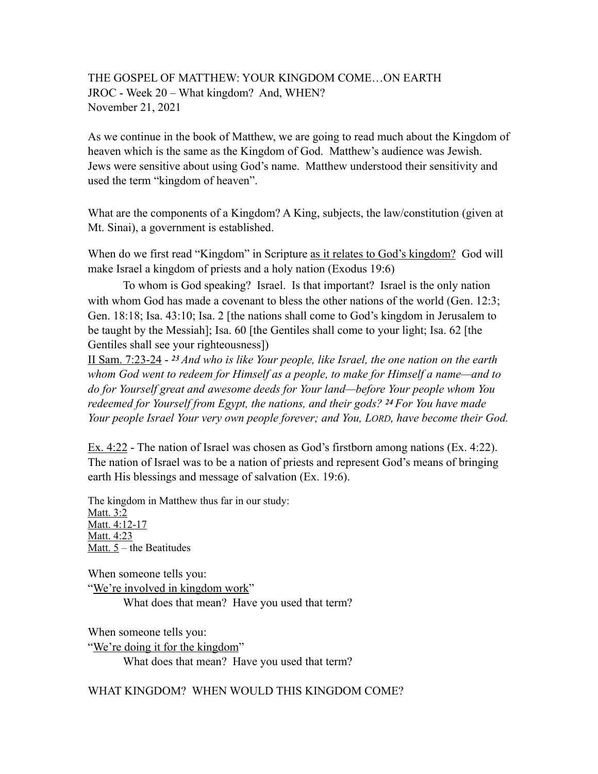## THE GOSPEL OF MATTHEW: YOUR KINGDOM COME…ON EARTH JROC - Week 20 – What kingdom? And, WHEN? November 21, 2021

As we continue in the book of Matthew, we are going to read much about the Kingdom of heaven which is the same as the Kingdom of God. Matthew's audience was Jewish. Jews were sensitive about using God's name. Matthew understood their sensitivity and used the term "kingdom of heaven".

What are the components of a Kingdom? A King, subjects, the law/constitution (given at Mt. Sinai), a government is established.

When do we first read "Kingdom" in Scripture as it relates to God's kingdom? God will make Israel a kingdom of priests and a holy nation (Exodus 19:6)

To whom is God speaking? Israel. Is that important? Israel is the only nation with whom God has made a covenant to bless the other nations of the world (Gen. 12:3; Gen. 18:18; Isa. 43:10; Isa. 2 [the nations shall come to God's kingdom in Jerusalem to be taught by the Messiah]; Isa. 60 [the Gentiles shall come to your light; Isa. 62 [the Gentiles shall see your righteousness])

II Sam. 7:23-24 - *23 And who is like Your people, like Israel, the one nation on the earth whom God went to redeem for Himself as a people, to make for Himself a name—and to do for Yourself great and awesome deeds for Your land—before Your people whom You redeemed for Yourself from Egypt, the nations, and their gods? 24 For You have made Your people Israel Your very own people forever; and You, LORD, have become their God.*

Ex. 4:22 - The nation of Israel was chosen as God's firstborn among nations (Ex. 4:22). The nation of Israel was to be a nation of priests and represent God's means of bringing earth His blessings and message of salvation (Ex. 19:6).

The kingdom in Matthew thus far in our study: Matt. 3:2 Matt. 4:12-17 Matt. 4:23 Matt.  $5$  – the Beatitudes

When someone tells you: "We're involved in kingdom work" What does that mean? Have you used that term?

When someone tells you: "We're doing it for the kingdom" What does that mean? Have you used that term?

WHAT KINGDOM? WHEN WOULD THIS KINGDOM COME?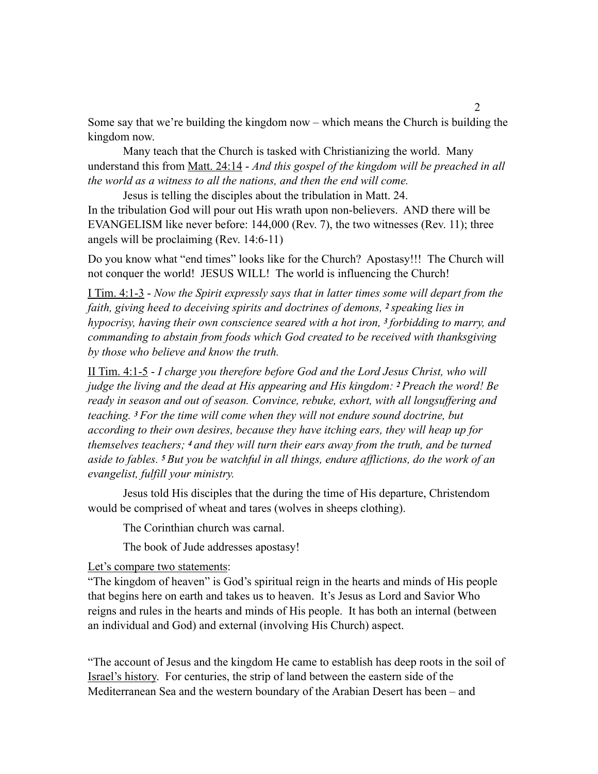Some say that we're building the kingdom now – which means the Church is building the kingdom now.

Many teach that the Church is tasked with Christianizing the world. Many understand this from Matt. 24:14 - *And this gospel of the kingdom will be preached in all the world as a witness to all the nations, and then the end will come.* 

Jesus is telling the disciples about the tribulation in Matt. 24. In the tribulation God will pour out His wrath upon non-believers. AND there will be EVANGELISM like never before: 144,000 (Rev. 7), the two witnesses (Rev. 11); three angels will be proclaiming (Rev. 14:6-11)

Do you know what "end times" looks like for the Church? Apostasy!!! The Church will not conquer the world! JESUS WILL! The world is influencing the Church!

I Tim. 4:1-3 - *Now the Spirit expressly says that in latter times some will depart from the faith, giving heed to deceiving spirits and doctrines of demons, <sup>2</sup> <i>speaking lies in hypocrisy, having their own conscience seared with a hot iron, 3 forbidding to marry, and commanding to abstain from foods which God created to be received with thanksgiving by those who believe and know the truth.*

II Tim. 4:1-5 - *I charge you therefore before God and the Lord Jesus Christ, who will judge the living and the dead at His appearing and His kingdom: 2 Preach the word! Be ready in season and out of season. Convince, rebuke, exhort, with all longsuffering and teaching. 3 For the time will come when they will not endure sound doctrine, but according to their own desires, because they have itching ears, they will heap up for themselves teachers; 4 and they will turn their ears away from the truth, and be turned aside to fables. 5 But you be watchful in all things, endure afflictions, do the work of an evangelist, fulfill your ministry.* 

Jesus told His disciples that the during the time of His departure, Christendom would be comprised of wheat and tares (wolves in sheeps clothing).

The Corinthian church was carnal.

The book of Jude addresses apostasy!

Let's compare two statements:

"The kingdom of heaven" is God's spiritual reign in the hearts and minds of His people that begins here on earth and takes us to heaven. It's Jesus as Lord and Savior Who reigns and rules in the hearts and minds of His people. It has both an internal (between an individual and God) and external (involving His Church) aspect.

"The account of Jesus and the kingdom He came to establish has deep roots in the soil of Israel's history. For centuries, the strip of land between the eastern side of the Mediterranean Sea and the western boundary of the Arabian Desert has been – and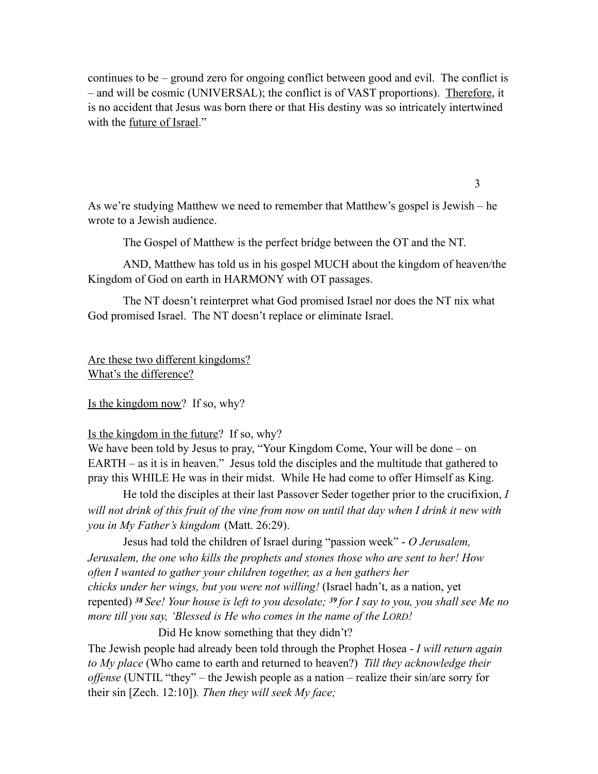continues to be – ground zero for ongoing conflict between good and evil. The conflict is – and will be cosmic (UNIVERSAL); the conflict is of VAST proportions). Therefore, it is no accident that Jesus was born there or that His destiny was so intricately intertwined with the future of Israel."

As we're studying Matthew we need to remember that Matthew's gospel is Jewish – he wrote to a Jewish audience.

3

The Gospel of Matthew is the perfect bridge between the OT and the NT.

 AND, Matthew has told us in his gospel MUCH about the kingdom of heaven/the Kingdom of God on earth in HARMONY with OT passages.

 The NT doesn't reinterpret what God promised Israel nor does the NT nix what God promised Israel. The NT doesn't replace or eliminate Israel.

Are these two different kingdoms? What's the difference?

Is the kingdom now? If so, why?

Is the kingdom in the future? If so, why?

We have been told by Jesus to pray, "Your Kingdom Come, Your will be done – on EARTH – as it is in heaven." Jesus told the disciples and the multitude that gathered to pray this WHILE He was in their midst. While He had come to offer Himself as King.

He told the disciples at their last Passover Seder together prior to the crucifixion, *I*  will not drink of this fruit of the vine from now on until that day when I drink it new with *you in My Father's kingdom* (Matt. 26:29).

Jesus had told the children of Israel during "passion week" - *O Jerusalem, Jerusalem, the one who kills the prophets and stones those who are sent to her! How often I wanted to gather your children together, as a hen gathers her chicks under her wings, but you were not willing!* (Israel hadn't, as a nation, yet repented) *<sup>38</sup>See! Your house is left to you desolate; 39 for I say to you, you shall see Me no more till you say, 'Blessed is He who comes in the name of the LORD!* 

Did He know something that they didn't? The Jewish people had already been told through the Prophet Hosea - *I will return again to My place* (Who came to earth and returned to heaven?) *Till they acknowledge their offense* (UNTIL "they" – the Jewish people as a nation – realize their sin/are sorry for their sin [Zech. 12:10])*. Then they will seek My face;*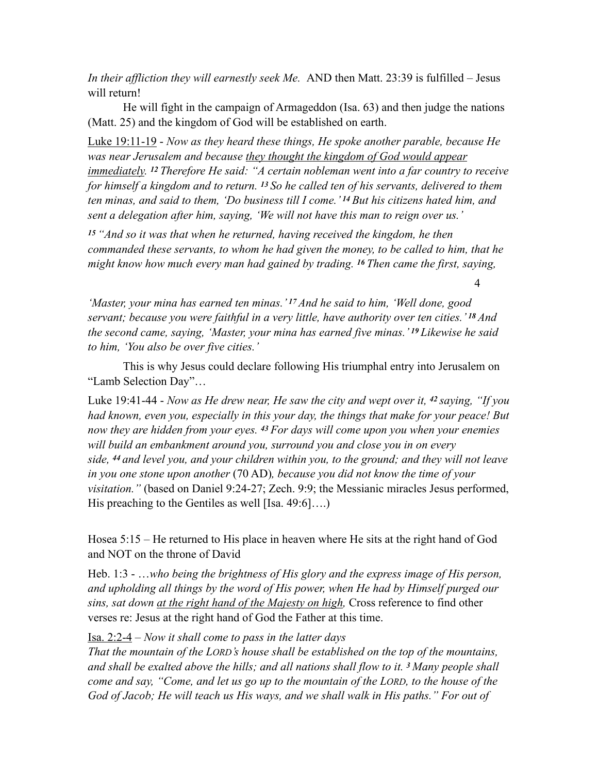*In their affliction they will earnestly seek Me.* AND then Matt. 23:39 is fulfilled – Jesus will return!

 He will fight in the campaign of Armageddon (Isa. 63) and then judge the nations (Matt. 25) and the kingdom of God will be established on earth.

Luke 19:11-19 - *Now as they heard these things, He spoke another parable, because He was near Jerusalem and because they thought the kingdom of God would appear immediately. 12 Therefore He said: "A certain nobleman went into a far country to receive for himself a kingdom and to return. 13 So he called ten of his servants, delivered to them ten minas, and said to them, 'Do business till I come.' 14 But his citizens hated him, and sent a delegation after him, saying, 'We will not have this man to reign over us.'* 

*<sup>15</sup>"And so it was that when he returned, having received the kingdom, he then commanded these servants, to whom he had given the money, to be called to him, that he might know how much every man had gained by trading. 16 Then came the first, saying,* 

*'Master, your mina has earned ten minas.' 17 And he said to him, 'Well done, good servant; because you were faithful in a very little, have authority over ten cities.' 18 And the second came, saying, 'Master, your mina has earned five minas.' 19 Likewise he said to him, 'You also be over five cities.'* 

4

This is why Jesus could declare following His triumphal entry into Jerusalem on "Lamb Selection Day"…

Luke 19:41-44 - *Now as He drew near, He saw the city and wept over it, 42 saying, "If you had known, even you, especially in this your day, the things that make for your peace! But now they are hidden from your eyes. 43 For days will come upon you when your enemies will build an embankment around you, surround you and close you in on every side, 44 and level you, and your children within you, to the ground; and they will not leave in you one stone upon another* (70 AD)*, because you did not know the time of your visitation."* (based on Daniel 9:24-27; Zech. 9:9; the Messianic miracles Jesus performed, His preaching to the Gentiles as well [Isa. 49:6]….)

Hosea 5:15 – He returned to His place in heaven where He sits at the right hand of God and NOT on the throne of David

Heb. 1:3 - …*who being the brightness of His glory and the express image of His person, and upholding all things by the word of His power, when He had by Himself purged our sins, sat down at the right hand of the Majesty on high,* Cross reference to find other verses re: Jesus at the right hand of God the Father at this time.

Isa. 2:2-4 – *Now it shall come to pass in the latter days*

*That the mountain of the LORD's house shall be established on the top of the mountains, and shall be exalted above the hills; and all nations shall flow to it. 3 Many people shall come and say, "Come, and let us go up to the mountain of the LORD, to the house of the God of Jacob; He will teach us His ways, and we shall walk in His paths." For out of*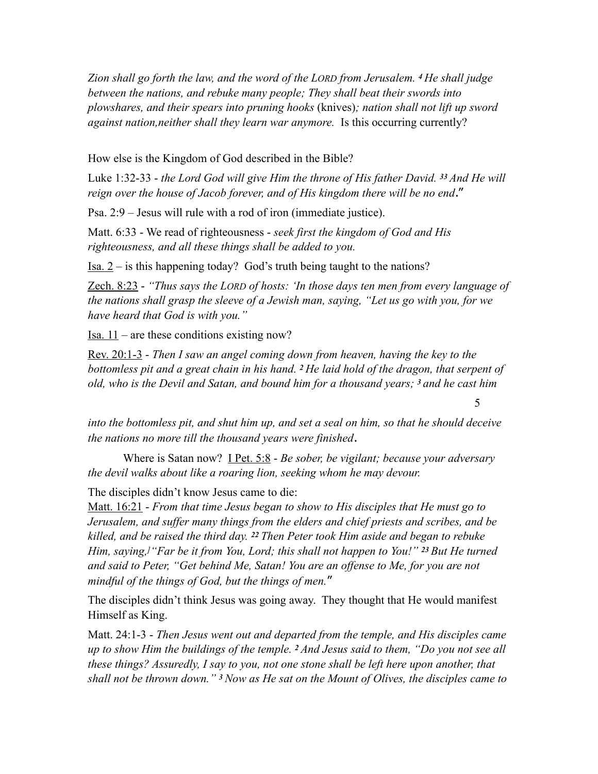*Zion shall go forth the law, and the word of the LORD from Jerusalem. 4 He shall judge between the nations, and rebuke many people; They shall beat their swords into plowshares, and their spears into pruning hooks* (knives)*; nation shall not lift up sword against nation,neither shall they learn war anymore.* Is this occurring currently?

How else is the Kingdom of God described in the Bible?

Luke 1:32-33 - *the Lord God will give Him the throne of His father David. 33 And He will reign over the house of Jacob forever, and of His kingdom there will be no end*."

Psa. 2:9 – Jesus will rule with a rod of iron (immediate justice).

Matt. 6:33 - We read of righteousness - *seek first the kingdom of God and His righteousness, and all these things shall be added to you.* 

<u>Isa. 2</u> – is this happening today? God's truth being taught to the nations?

Zech. 8:23 - *"Thus says the LORD of hosts: 'In those days ten men from every language of the nations shall grasp the sleeve of a Jewish man, saying, "Let us go with you, for we have heard that God is with you."* 

Isa. 11 – are these conditions existing now?

Rev. 20:1-3 - *Then I saw an angel coming down from heaven, having the key to the bottomless pit and a great chain in his hand. 2 He laid hold of the dragon, that serpent of old, who is the Devil and Satan, and bound him for a thousand years; 3 and he cast him* 

*into the bottomless pit, and shut him up, and set a seal on him, so that he should deceive the nations no more till the thousand years were finished*.

5

Where is Satan now? I Pet. 5:8 - *Be sober, be vigilant; because your adversary the devil walks about like a roaring lion, seeking whom he may devour.* 

The disciples didn't know Jesus came to die:

Matt. 16:21 - *From that time Jesus began to show to His disciples that He must go to Jerusalem, and suffer many things from the elders and chief priests and scribes, and be killed, and be raised the third day. 22 Then Peter took Him aside and began to rebuke Him, saying,]"Far be it from You, Lord; this shall not happen to You!" 23 But He turned and said to Peter, "Get behind Me, Satan! You are an offense to Me, for you are not mindful of the things of God, but the things of men.*"

The disciples didn't think Jesus was going away. They thought that He would manifest Himself as King.

Matt. 24:1-3 - *Then Jesus went out and departed from the temple, and His disciples came up to show Him the buildings of the temple. 2 And Jesus said to them, "Do you not see all these things? Assuredly, I say to you, not one stone shall be left here upon another, that shall not be thrown down." 3 Now as He sat on the Mount of Olives, the disciples came to*